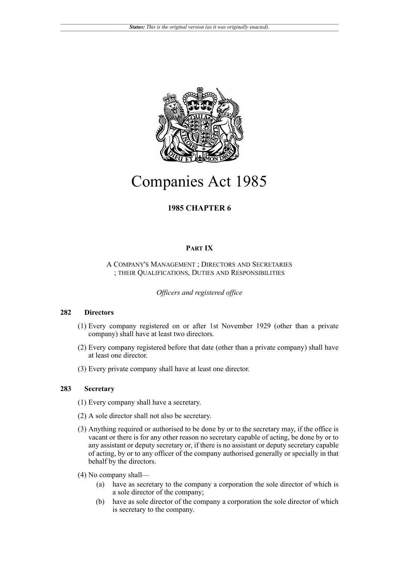

# Companies Act 1985

# **1985 CHAPTER 6**

# **PART IX**

#### A COMPANY'S MANAGEMENT ; DIRECTORS AND SECRETARIES ; THEIR QUALIFICATIONS, DUTIES AND RESPONSIBILITIES

*Officers and registered office*

## **282 Directors**

- (1) Every company registered on or after 1st November 1929 (other than a private company) shall have at least two directors.
- (2) Every company registered before that date (other than a private company) shall have at least one director.
- (3) Every private company shall have at least one director.

# **283 Secretary**

- (1) Every company shall have a secretary.
- (2) A sole director shall not also be secretary.
- (3) Anything required or authorised to be done by or to the secretary may, if the office is vacant or there is for any other reason no secretary capable of acting, be done by or to any assistant or deputy secretary or, if there is no assistant or deputy secretary capable of acting, by or to any officer of the company authorised generally or specially in that behalf by the directors.
- (4) No company shall—
	- (a) have as secretary to the company a corporation the sole director of which is a sole director of the company;
	- (b) have as sole director of the company a corporation the sole director of which is secretary to the company.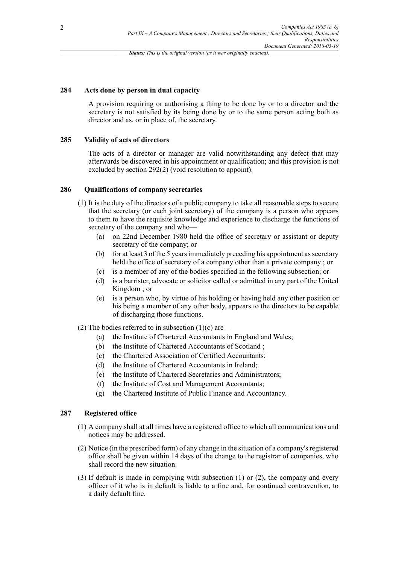#### **284 Acts done by person in dual capacity**

A provision requiring or authorising a thing to be done by or to a director and the secretary is not satisfied by its being done by or to the same person acting both as director and as, or in place of, the secretary.

#### **285 Validity of acts of directors**

The acts of a director or manager are valid notwithstanding any defect that may afterwards be discovered in his appointment or qualification; and this provision is not excluded by section 292(2) (void resolution to appoint).

#### **286 Qualifications of company secretaries**

- (1) It is the duty of the directors of a public company to take all reasonable steps to secure that the secretary (or each joint secretary) of the company is a person who appears to them to have the requisite knowledge and experience to discharge the functions of secretary of the company and who—
	- (a) on 22nd December 1980 held the office of secretary or assistant or deputy secretary of the company; or
	- (b) for at least 3 of the 5 years immediately preceding his appointment as secretary held the office of secretary of a company other than a private company; or
	- (c) is a member of any of the bodies specified in the following subsection; or
	- (d) is a barrister, advocate or solicitor called or admitted in any part of the United Kingdom ; or
	- (e) is a person who, by virtue of his holding or having held any other position or his being a member of any other body, appears to the directors to be capable of discharging those functions.
- (2) The bodies referred to in subsection  $(1)(c)$  are—
	- (a) the Institute of Chartered Accountants in England and Wales;
	- (b) the Institute of Chartered Accountants of Scotland ;
	- (c) the Chartered Association of Certified Accountants;
	- (d) the Institute of Chartered Accountants in Ireland;
	- (e) the Institute of Chartered Secretaries and Administrators;
	- (f) the Institute of Cost and Management Accountants;
	- (g) the Chartered Institute of Public Finance and Accountancy.

#### **287 Registered office**

- (1) A company shall at all times have a registered office to which all communications and notices may be addressed.
- (2) Notice (in the prescribed form) of any change in the situation of a company's registered office shall be given within 14 days of the change to the registrar of companies, who shall record the new situation.
- (3) If default is made in complying with subsection (1) or (2), the company and every officer of it who is in default is liable to a fine and, for continued contravention, to a daily default fine.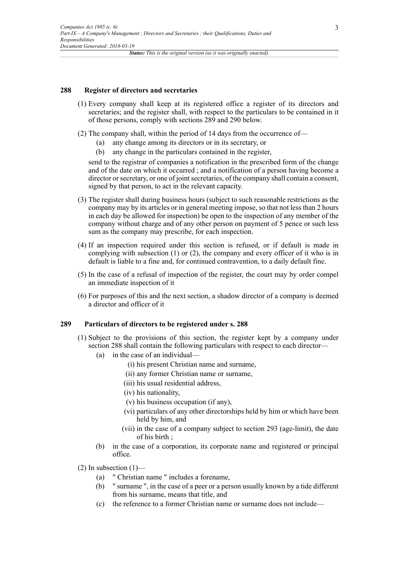#### **288 Register of directors and secretaries**

- (1) Every company shall keep at its registered office a register of its directors and secretaries; and the register shall, with respect to the particulars to be contained in it of those persons, comply with sections 289 and 290 below.
- (2) The company shall, within the period of 14 days from the occurrence of—
	- (a) any change among its directors or in its secretary, or
	- (b) any change in the particulars contained in the register,

send to the registrar of companies a notification in the prescribed form of the change and of the date on which it occurred ; and a notification of a person having become a director or secretary, or one of joint secretaries, of the company shall contain a consent, signed by that person, to act in the relevant capacity.

- (3) The register shall during business hours (subject to such reasonable restrictions as the company may by its articles or in general meeting impose, so that not less than 2 hours in each day be allowed for inspection) be open to the inspection of any member of the company without charge and of any other person on payment of 5 pence or such less sum as the company may prescribe, for each inspection.
- (4) If an inspection required under this section is refused, or if default is made in complying with subsection (1) or (2), the company and every officer of it who is in default is liable to a fine and, for continued contravention, to a daily default fine.
- (5) In the case of a refusal of inspection of the register, the court may by order compel an immediate inspection of it
- (6) For purposes of this and the next section, a shadow director of a company is deemed a director and officer of it

#### **289 Particulars of directors to be registered under s. 288**

- (1) Subject to the provisions of this section, the register kept by a company under section 288 shall contain the following particulars with respect to each director—
	- (a) in the case of an individual—
		- (i) his present Christian name and surname,
		- (ii) any former Christian name or surname,
		- (iii) his usual residential address,
		- (iv) his nationality,
		- (v) his business occupation (if any),
		- (vi) particulars of any other directorships held by him or which have been held by him, and
		- (vii) in the case of a company subject to section 293 (age-limit), the date of his birth ;
	- (b) in the case of a corporation, its corporate name and registered or principal office.

 $(2)$  In subsection  $(1)$ —

- (a) " Christian name " includes a forename,
- (b) " surname ", in the case of a peer or a person usually known by a tide different from his surname, means that title, and
- (c) the reference to a former Christian name or surname does not include—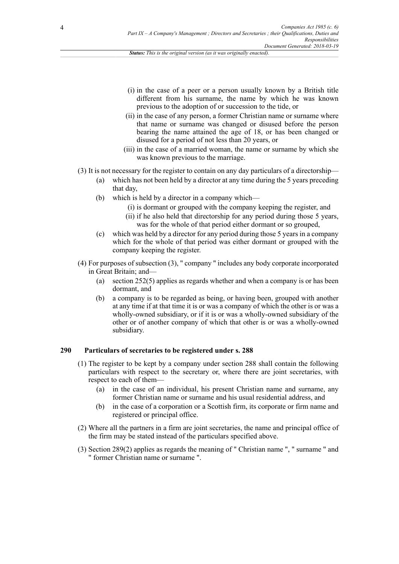- (i) in the case of a peer or a person usually known by a British title different from his surname, the name by which he was known previous to the adoption of or succession to the tide, or
- (ii) in the case of any person, a former Christian name or surname where that name or surname was changed or disused before the person bearing the name attained the age of 18, or has been changed or disused for a period of not less than 20 years, or
- (iii) in the case of a married woman, the name or surname by which she was known previous to the marriage.
- (3) It is not necessary for the register to contain on any day particulars of a directorship—
	- (a) which has not been held by a director at any time during the 5 years preceding that day,
	- (b) which is held by a director in a company which—
		- (i) is dormant or grouped with the company keeping the register, and
		- (ii) if he also held that directorship for any period during those 5 years, was for the whole of that period either dormant or so grouped,
	- (c) which was held by a director for any period during those 5 years in a company which for the whole of that period was either dormant or grouped with the company keeping the register.
- (4) For purposes of subsection (3), " company " includes any body corporate incorporated in Great Britain; and—
	- (a) section 252(5) applies as regards whether and when a company is or has been dormant, and
	- (b) a company is to be regarded as being, or having been, grouped with another at any time if at that time it is or was a company of which the other is or was a wholly-owned subsidiary, or if it is or was a wholly-owned subsidiary of the other or of another company of which that other is or was a wholly-owned subsidiary.

# **290 Particulars of secretaries to be registered under s. 288**

- (1) The register to be kept by a company under section 288 shall contain the following particulars with respect to the secretary or, where there are joint secretaries, with respect to each of them—
	- (a) in the case of an individual, his present Christian name and surname, any former Christian name or surname and his usual residential address, and
	- (b) in the case of a corporation or a Scottish firm, its corporate or firm name and registered or principal office.
- (2) Where all the partners in a firm are joint secretaries, the name and principal office of the firm may be stated instead of the particulars specified above.
- (3) Section 289(2) applies as regards the meaning of " Christian name ", " surname " and " former Christian name or surname ".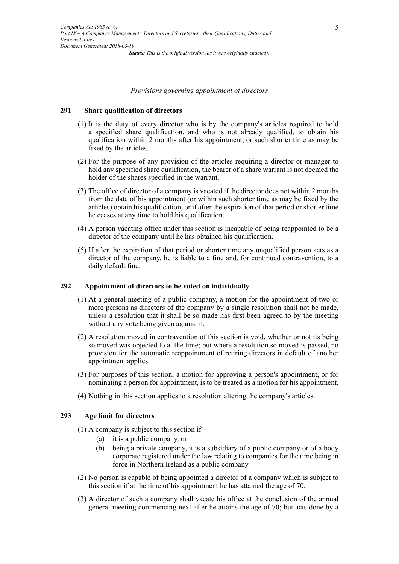# *Provisions governing appointment of directors*

#### **291 Share qualification of directors**

- (1) It is the duty of every director who is by the company's articles required to hold a specified share qualification, and who is not already qualified, to obtain his qualification within 2 months after his appointment, or such shorter time as may be fixed by the articles.
- (2) For the purpose of any provision of the articles requiring a director or manager to hold any specified share qualification, the bearer of a share warrant is not deemed the holder of the shares specified in the warrant.
- (3) The office of director of a company is vacated if the director does not within 2 months from the date of his appointment (or within such shorter time as may be fixed by the articles) obtain his qualification, or if after the expiration of that period or shorter time he ceases at any time to hold his qualification.
- (4) A person vacating office under this section is incapable of being reappointed to be a director of the company until he has obtained his qualification.
- (5) If after the expiration of that period or shorter time any unqualified person acts as a director of the company, he is liable to a fine and, for continued contravention, to a daily default fine.

#### **292 Appointment of directors to be voted on individually**

- (1) At a general meeting of a public company, a motion for the appointment of two or more persons as directors of the company by a single resolution shall not be made, unless a resolution that it shall be so made has first been agreed to by the meeting without any vote being given against it.
- (2) A resolution moved in contravention of this section is void, whether or not its being so moved was objected to at the time; but where a resolution so moved is passed, no provision for the automatic reappointment of retiring directors in default of another appointment applies.
- (3) For purposes of this section, a motion for approving a person's appointment, or for nominating a person for appointment, is to be treated as a motion for his appointment.
- (4) Nothing in this section applies to a resolution altering the company's articles.

#### **293 Age limit for directors**

- (1) A company is subject to this section if—
	- (a) it is a public company, or
	- (b) being a private company, it is a subsidiary of a public company or of a body corporate registered under the law relating to companies for the time being in force in Northern Ireland as a public company.
- (2) No person is capable of being appointed a director of a company which is subject to this section if at the time of his appointment he has attained the age of 70.
- (3) A director of such a company shall vacate his office at the conclusion of the annual general meeting commencing next after he attains the age of 70; but acts done by a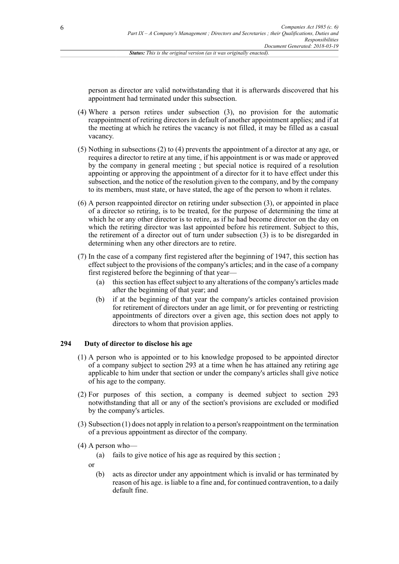person as director are valid notwithstanding that it is afterwards discovered that his appointment had terminated under this subsection.

- (4) Where a person retires under subsection (3), no provision for the automatic reappointment of retiring directors in default of another appointment applies; and if at the meeting at which he retires the vacancy is not filled, it may be filled as a casual vacancy.
- (5) Nothing in subsections (2) to (4) prevents the appointment of a director at any age, or requires a director to retire at any time, if his appointment is or was made or approved by the company in general meeting ; but special notice is required of a resolution appointing or approving the appointment of a director for it to have effect under this subsection, and the notice of the resolution given to the company, and by the company to its members, must state, or have stated, the age of the person to whom it relates.
- (6) A person reappointed director on retiring under subsection (3), or appointed in place of a director so retiring, is to be treated, for the purpose of determining the time at which he or any other director is to retire, as if he had become director on the day on which the retiring director was last appointed before his retirement. Subject to this, the retirement of a director out of turn under subsection (3) is to be disregarded in determining when any other directors are to retire.
- (7) In the case of a company first registered after the beginning of 1947, this section has effect subject to the provisions of the company's articles; and in the case of a company first registered before the beginning of that year—
	- (a) this section has effect subject to any alterations of the company's articles made after the beginning of that year; and
	- (b) if at the beginning of that year the company's articles contained provision for retirement of directors under an age limit, or for preventing or restricting appointments of directors over a given age, this section does not apply to directors to whom that provision applies.

## **294 Duty of director to disclose his age**

- (1) A person who is appointed or to his knowledge proposed to be appointed director of a company subject to section 293 at a time when he has attained any retiring age applicable to him under that section or under the company's articles shall give notice of his age to the company.
- (2) For purposes of this section, a company is deemed subject to section 293 notwithstanding that all or any of the section's provisions are excluded or modified by the company's articles.
- (3) Subsection (1) does not apply in relation to a person's reappointment on the termination of a previous appointment as director of the company.
- (4) A person who—

(a) fails to give notice of his age as required by this section ;

or

(b) acts as director under any appointment which is invalid or has terminated by reason of his age. is liable to a fine and, for continued contravention, to a daily default fine.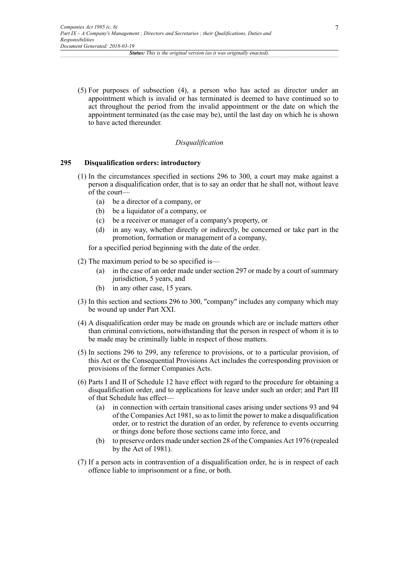(5) For purposes of subsection (4), a person who has acted as director under an appointment which is invalid or has terminated is deemed to have continued so to act throughout the period from the invalid appointment or the date on which the appointment terminated (as the case may be), until the last day on which he is shown to have acted thereunder.

#### *Disqualification*

#### **295 Disqualification orders: introductory**

- (1) In the circumstances specified in sections 296 to 300, a court may make against a person a disqualification order, that is to say an order that he shall not, without leave of the court—
	- (a) be a director of a company, or
	- (b) be a liquidator of a company, or
	- (c) be a receiver or manager of a company's property, or
	- (d) in any way, whether directly or indirectly, be concerned or take part in the promotion, formation or management of a company,

for a specified period beginning with the date of the order.

- (2) The maximum period to be so specified is—
	- (a) in the case of an order made under section 297 or made by a court of summary jurisdiction, 5 years, and
	- (b) in any other case, 15 years.
- (3) In this section and sections 296 to 300, "company" includes any company which may be wound up under Part XXI.
- (4) A disqualification order may be made on grounds which are or include matters other than criminal convictions, notwithstanding that the person in respect of whom it is to be made may be criminally liable in respect of those matters.
- (5) In sections 296 to 299, any reference to provisions, or to a particular provision, of this Act or the Consequential Provisions Act includes the corresponding provision or provisions of the former Companies Acts.
- (6) Parts I and II of Schedule 12 have effect with regard to the procedure for obtaining a disqualification order, and to applications for leave under such an order; and Part III of that Schedule has effect—
	- (a) in connection with certain transitional cases arising under sections 93 and 94 of the Companies Act 1981, so as to limit the power to make a disqualification order, or to restrict the duration of an order, by reference to events occurring or things done before those sections came into force, and
	- (b) to preserve orders made under section 28 of the Companies Act 1976 (repealed by the Act of 1981).
- (7) If a person acts in contravention of a disqualification order, he is in respect of each offence liable to imprisonment or a fine, or both.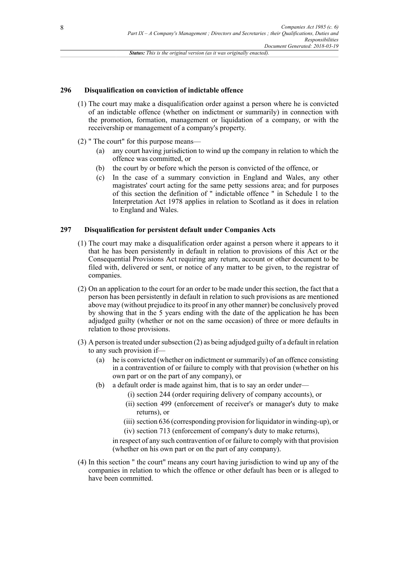#### **296 Disqualification on conviction of indictable offence**

- (1) The court may make a disqualification order against a person where he is convicted of an indictable offence (whether on indictment or summarily) in connection with the promotion, formation, management or liquidation of a company, or with the receivership or management of a company's property.
- (2) " The court" for this purpose means—
	- (a) any court having jurisdiction to wind up the company in relation to which the offence was committed, or
	- (b) the court by or before which the person is convicted of the offence, or
	- (c) In the case of a summary conviction in England and Wales, any other magistrates' court acting for the same petty sessions area; and for purposes of this section the definition of " indictable offence " in Schedule 1 to the Interpretation Act 1978 applies in relation to Scotland as it does in relation to England and Wales.

#### **297 Disqualification for persistent default under Companies Acts**

- (1) The court may make a disqualification order against a person where it appears to it that he has been persistently in default in relation to provisions of this Act or the Consequential Provisions Act requiring any return, account or other document to be filed with, delivered or sent, or notice of any matter to be given, to the registrar of companies.
- (2) On an application to the court for an order to be made under this section, the fact that a person has been persistently in default in relation to such provisions as are mentioned above may (without prejudice to its proof in any other manner) be conclusively proved by showing that in the 5 years ending with the date of the application he has been adjudged guilty (whether or not on the same occasion) of three or more defaults in relation to those provisions.
- (3) A person is treated under subsection (2) as being adjudged guilty of a default in relation to any such provision if—
	- (a) he is convicted (whether on indictment orsummarily) of an offence consisting in a contravention of or failure to comply with that provision (whether on his own part or on the part of any company), or
	- (b) a default order is made against him, that is to say an order under—
		- (i) section 244 (order requiring delivery of company accounts), or
		- (ii) section 499 (enforcement of receiver's or manager's duty to make returns), or
		- (iii) section 636 (corresponding provision for liquidator in winding-up), or
		- (iv) section 713 (enforcement of company's duty to make returns),

in respect of any such contravention of or failure to comply with that provision (whether on his own part or on the part of any company).

(4) In this section " the court" means any court having jurisdiction to wind up any of the companies in relation to which the offence or other default has been or is alleged to have been committed.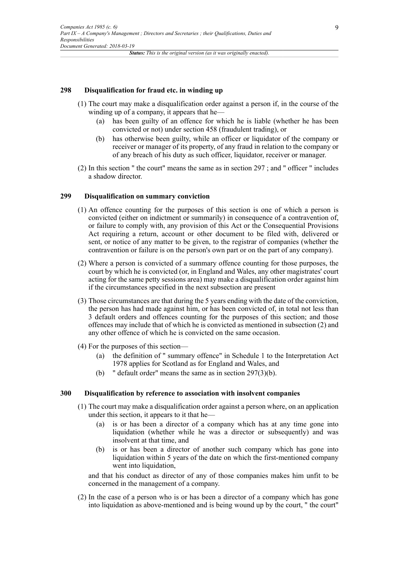#### **298 Disqualification for fraud etc. in winding up**

- (1) The court may make a disqualification order against a person if, in the course of the winding up of a company, it appears that he—
	- (a) has been guilty of an offence for which he is liable (whether he has been convicted or not) under section 458 (fraudulent trading), or
	- (b) has otherwise been guilty, while an officer or liquidator of the company or receiver or manager of its property, of any fraud in relation to the company or of any breach of his duty as such officer, liquidator, receiver or manager.
- (2) In this section " the court" means the same as in section 297 ; and " officer " includes a shadow director.

#### **299 Disqualification on summary conviction**

- (1) An offence counting for the purposes of this section is one of which a person is convicted (either on indictment or summarily) in consequence of a contravention of, or failure to comply with, any provision of this Act or the Consequential Provisions Act requiring a return, account or other document to be filed with, delivered or sent, or notice of any matter to be given, to the registrar of companies (whether the contravention or failure is on the person's own part or on the part of any company).
- (2) Where a person is convicted of a summary offence counting for those purposes, the court by which he is convicted (or, in England and Wales, any other magistrates' court acting for the same petty sessions area) may make a disqualification order against him if the circumstances specified in the next subsection are present
- (3) Those circumstances are that during the 5 years ending with the date of the conviction, the person has had made against him, or has been convicted of, in total not less than 3 default orders and offences counting for the purposes of this section; and those offences may include that of which he is convicted as mentioned in subsection (2) and any other offence of which he is convicted on the same occasion.
- (4) For the purposes of this section—
	- (a) the definition of " summary offence" in Schedule 1 to the Interpretation Act 1978 applies for Scotland as for England and Wales, and
	- (b) " default order" means the same as in section 297(3)(b).

#### **300 Disqualification by reference to association with insolvent companies**

- (1) The court may make a disqualification order against a person where, on an application under this section, it appears to it that he—
	- (a) is or has been a director of a company which has at any time gone into liquidation (whether while he was a director or subsequently) and was insolvent at that time, and
	- (b) is or has been a director of another such company which has gone into liquidation within 5 years of the date on which the first-mentioned company went into liquidation,

and that his conduct as director of any of those companies makes him unfit to be concerned in the management of a company.

(2) In the case of a person who is or has been a director of a company which has gone into liquidation as above-mentioned and is being wound up by the court, " the court"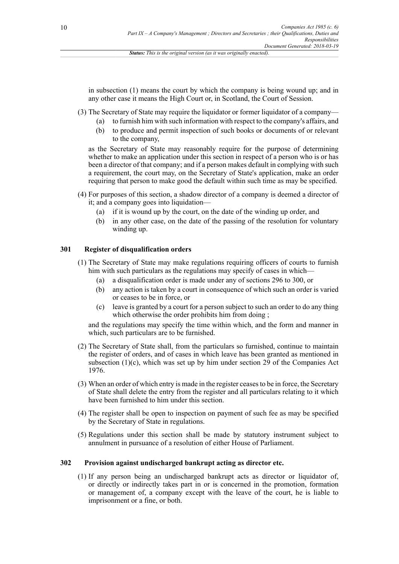in subsection (1) means the court by which the company is being wound up; and in any other case it means the High Court or, in Scotland, the Court of Session.

- (3) The Secretary of State may require the liquidator or former liquidator of a company—
	- (a) to furnish him with such information with respect to the company's affairs, and
	- (b) to produce and permit inspection of such books or documents of or relevant to the company,

as the Secretary of State may reasonably require for the purpose of determining whether to make an application under this section in respect of a person who is or has been a director of that company; and if a person makes default in complying with such a requirement, the court may, on the Secretary of State's application, make an order requiring that person to make good the default within such time as may be specified.

- (4) For purposes of this section, a shadow director of a company is deemed a director of it; and a company goes into liquidation—
	- (a) if it is wound up by the court, on the date of the winding up order, and
	- (b) in any other case, on the date of the passing of the resolution for voluntary winding up.

# **301 Register of disqualification orders**

- (1) The Secretary of State may make regulations requiring officers of courts to furnish him with such particulars as the regulations may specify of cases in which—
	- (a) a disqualification order is made under any of sections 296 to 300, or
	- (b) any action is taken by a court in consequence of which such an order is varied or ceases to be in force, or
	- (c) leave is granted by a court for a person subject to such an order to do any thing which otherwise the order prohibits him from doing;

and the regulations may specify the time within which, and the form and manner in which, such particulars are to be furnished.

- (2) The Secretary of State shall, from the particulars so furnished, continue to maintain the register of orders, and of cases in which leave has been granted as mentioned in subsection  $(1)(c)$ , which was set up by him under section 29 of the Companies Act 1976.
- (3) When an order of which entry is made in the register ceases to be in force, the Secretary of State shall delete the entry from the register and all particulars relating to it which have been furnished to him under this section.
- (4) The register shall be open to inspection on payment of such fee as may be specified by the Secretary of State in regulations.
- (5) Regulations under this section shall be made by statutory instrument subject to annulment in pursuance of a resolution of either House of Parliament.

#### **302 Provision against undischarged bankrupt acting as director etc.**

(1) If any person being an undischarged bankrupt acts as director or liquidator of, or directly or indirectly takes part in or is concerned in the promotion, formation or management of, a company except with the leave of the court, he is liable to imprisonment or a fine, or both.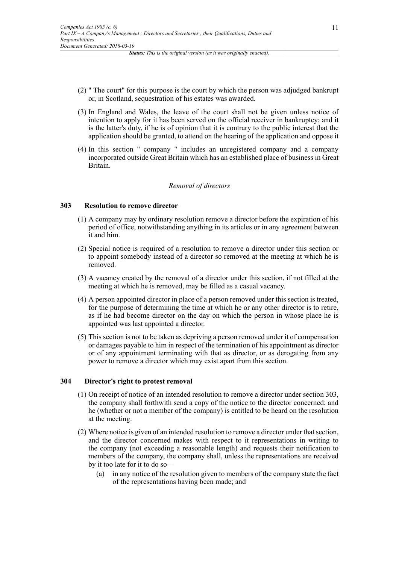- (2) " The court" for this purpose is the court by which the person was adjudged bankrupt or, in Scotland, sequestration of his estates was awarded.
- (3) In England and Wales, the leave of the court shall not be given unless notice of intention to apply for it has been served on the official receiver in bankruptcy; and it is the latter's duty, if he is of opinion that it is contrary to the public interest that the application should be granted, to attend on the hearing of the application and oppose it
- (4) In this section " company " includes an unregistered company and a company incorporated outside Great Britain which has an established place of business in Great Britain.

#### *Removal of directors*

#### **303 Resolution to remove director**

- (1) A company may by ordinary resolution remove a director before the expiration of his period of office, notwithstanding anything in its articles or in any agreement between it and him.
- (2) Special notice is required of a resolution to remove a director under this section or to appoint somebody instead of a director so removed at the meeting at which he is removed.
- (3) A vacancy created by the removal of a director under this section, if not filled at the meeting at which he is removed, may be filled as a casual vacancy.
- (4) A person appointed director in place of a person removed under this section is treated, for the purpose of determining the time at which he or any other director is to retire, as if he had become director on the day on which the person in whose place he is appointed was last appointed a director.
- (5) This section is not to be taken as depriving a person removed under it of compensation or damages payable to him in respect of the termination of his appointment as director or of any appointment terminating with that as director, or as derogating from any power to remove a director which may exist apart from this section.

#### **304 Director's right to protest removal**

- (1) On receipt of notice of an intended resolution to remove a director under section 303, the company shall forthwith send a copy of the notice to the director concerned; and he (whether or not a member of the company) is entitled to be heard on the resolution at the meeting.
- (2) Where notice is given of an intended resolution to remove a director under that section, and the director concerned makes with respect to it representations in writing to the company (not exceeding a reasonable length) and requests their notification to members of the company, the company shall, unless the representations are received by it too late for it to do so—
	- (a) in any notice of the resolution given to members of the company state the fact of the representations having been made; and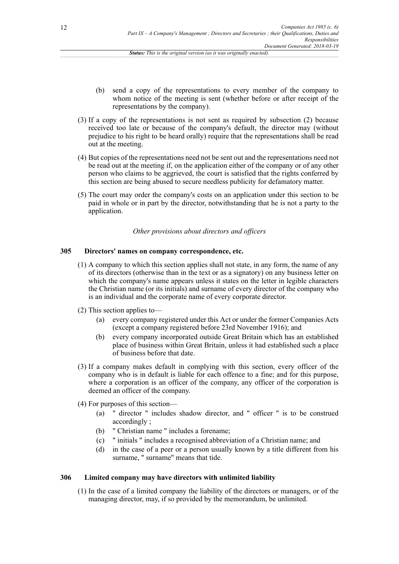- (b) send a copy of the representations to every member of the company to whom notice of the meeting is sent (whether before or after receipt of the representations by the company).
- (3) If a copy of the representations is not sent as required by subsection (2) because received too late or because of the company's default, the director may (without prejudice to his right to be heard orally) require that the representations shall be read out at the meeting.
- (4) But copies of the representations need not be sent out and the representations need not be read out at the meeting if, on the application either of the company or of any other person who claims to be aggrieved, the court is satisfied that the rights conferred by this section are being abused to secure needless publicity for defamatory matter.
- (5) The court may order the company's costs on an application under this section to be paid in whole or in part by the director, notwithstanding that he is not a party to the application.

#### *Other provisions about directors and officers*

#### **305 Directors' names on company correspondence, etc.**

- (1) A company to which this section applies shall not state, in any form, the name of any of its directors (otherwise than in the text or as a signatory) on any business letter on which the company's name appears unless it states on the letter in legible characters the Christian name (or its initials) and surname of every director of the company who is an individual and the corporate name of every corporate director.
- (2) This section applies to—
	- (a) every company registered under this Act or under the former Companies Acts (except a company registered before 23rd November 1916); and
	- (b) every company incorporated outside Great Britain which has an established place of business within Great Britain, unless it had established such a place of business before that date.
- (3) If a company makes default in complying with this section, every officer of the company who is in default is liable for each offence to a fine; and for this purpose, where a corporation is an officer of the company, any officer of the corporation is deemed an officer of the company.
- (4) For purposes of this section—
	- (a) " director " includes shadow director, and " officer " is to be construed accordingly ;
	- (b) " Christian name " includes a forename;
	- (c) " initials " includes a recognised abbreviation of a Christian name; and
	- (d) in the case of a peer or a person usually known by a title different from his surname, " surname" means that tide.

#### **306 Limited company may have directors with unlimited liability**

(1) In the case of a limited company the liability of the directors or managers, or of the managing director, may, if so provided by the memorandum, be unlimited.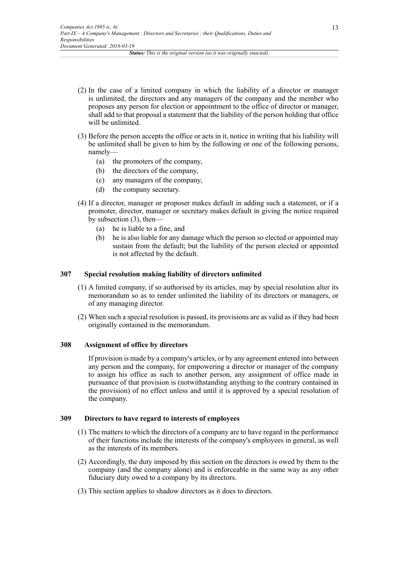- (2) In the case of a limited company in which the liability of a director or manager is unlimited, the directors and any managers of the company and the member who proposes any person for election or appointment to the office of director or manager, shall add to that proposal a statement that the liability of the person holding that office will be unlimited.
- (3) Before the person accepts the office or acts in it, notice in writing that his liability will be unlimited shall be given to him by the following or one of the following persons, namely—
	- (a) the promoters of the company,
	- (b) the directors of the company,
	- (c) any managers of the company,
	- (d) the company secretary.
- (4) If a director, manager or proposer makes default in adding such a statement, or if a promoter, director, manager or secretary makes default in giving the notice required by subsection (3), then—
	- (a) he is liable to a fine, and
	- (b) he is also liable for any damage which the person so elected or appointed may sustain from the default; but the liability of the person elected or appointed is not affected by the default.

#### **307 Special resolution making liability of directors unlimited**

- (1) A limited company, if so authorised by its articles, may by special resolution alter its memorandum so as to render unlimited the liability of its directors or managers, or of any managing director.
- (2) When such a special resolution is passed, its provisions are as valid as if they had been originally contained in the memorandum.

# **308 Assignment of office by directors**

If provision is made by a company's articles, or by any agreement entered into between any person and the company, for empowering a director or manager of the company to assign his office as such to another person, any assignment of office made in pursuance of that provision is (notwithstanding anything to the contrary contained in the provision) of no effect unless and until it is approved by a special resolution of the company.

# **309 Directors to have regard to interests of employees**

- (1) The matters to which the directors of a company are to have regard in the performance of their functions include the interests of the company's employees in general, as well as the interests of its members.
- (2) Accordingly, the duty imposed by this section on the directors is owed by them to the company (and the company alone) and is enforceable in the same way as any other fiduciary duty owed to a company by its directors.
- (3) This section applies to shadow directors as it does to directors.